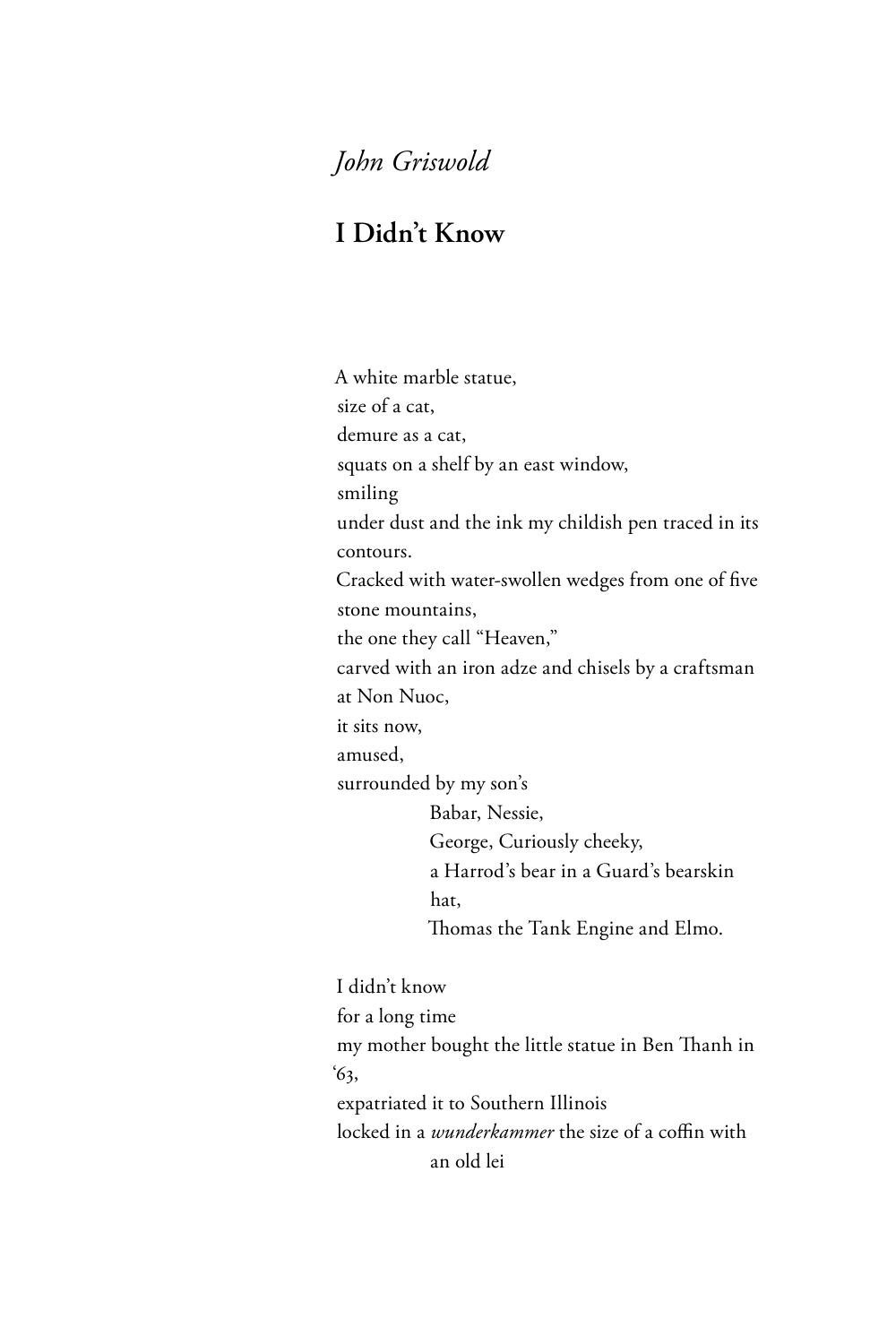## *John Griswold*

## **I Didn't Know**

A white marble statue, size of a cat, demure as a cat, squats on a shelf by an east window, smiling under dust and the ink my childish pen traced in its contours. Cracked with water-swollen wedges from one of five stone mountains, the one they call "Heaven," carved with an iron adze and chisels by a craftsman at Non Nuoc, it sits now, amused, surrounded by my son's Babar, Nessie, George, Curiously cheeky, a Harrod's bear in a Guard's bearskin hat, Thomas the Tank Engine and Elmo. I didn't know for a long time my mother bought the little statue in Ben Thanh in

'63,

expatriated it to Southern Illinois

locked in a *wunderkammer* the size of a coffin with an old lei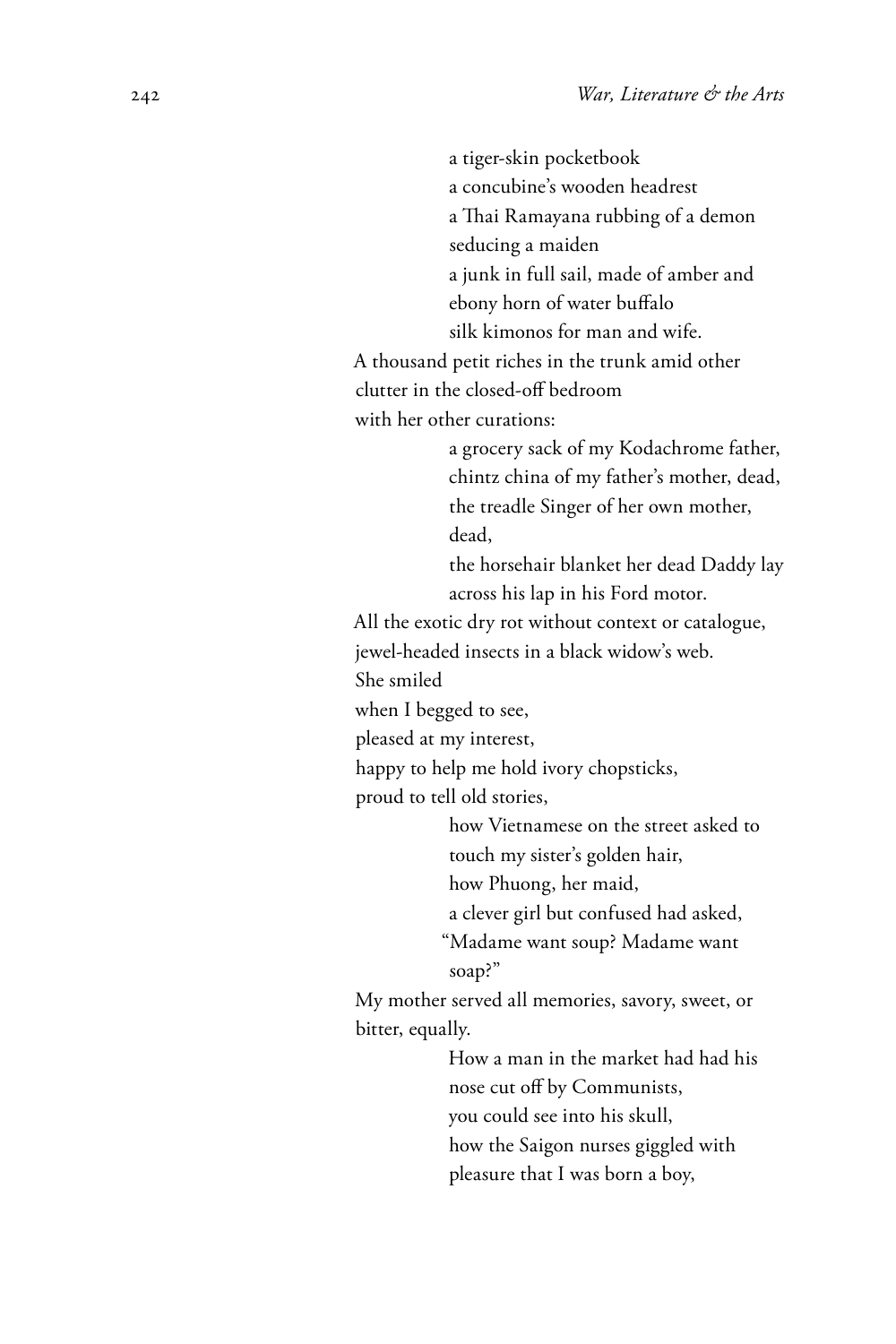a tiger-skin pocketbook a concubine's wooden headrest a Thai Ramayana rubbing of a demon seducing a maiden a junk in full sail, made of amber and ebony horn of water buffalo silk kimonos for man and wife. A thousand petit riches in the trunk amid other clutter in the closed-off bedroom with her other curations: a grocery sack of my Kodachrome father, chintz china of my father's mother, dead, the treadle Singer of her own mother, dead, the horsehair blanket her dead Daddy lay across his lap in his Ford motor. All the exotic dry rot without context or catalogue, jewel-headed insects in a black widow's web. She smiled when I begged to see, pleased at my interest, happy to help me hold ivory chopsticks, proud to tell old stories, how Vietnamese on the street asked to touch my sister's golden hair, how Phuong, her maid, a clever girl but confused had asked, "Madame want soup? Madame want soap?" My mother served all memories, savory, sweet, or bitter, equally. How a man in the market had had his nose cut off by Communists, you could see into his skull, how the Saigon nurses giggled with pleasure that I was born a boy,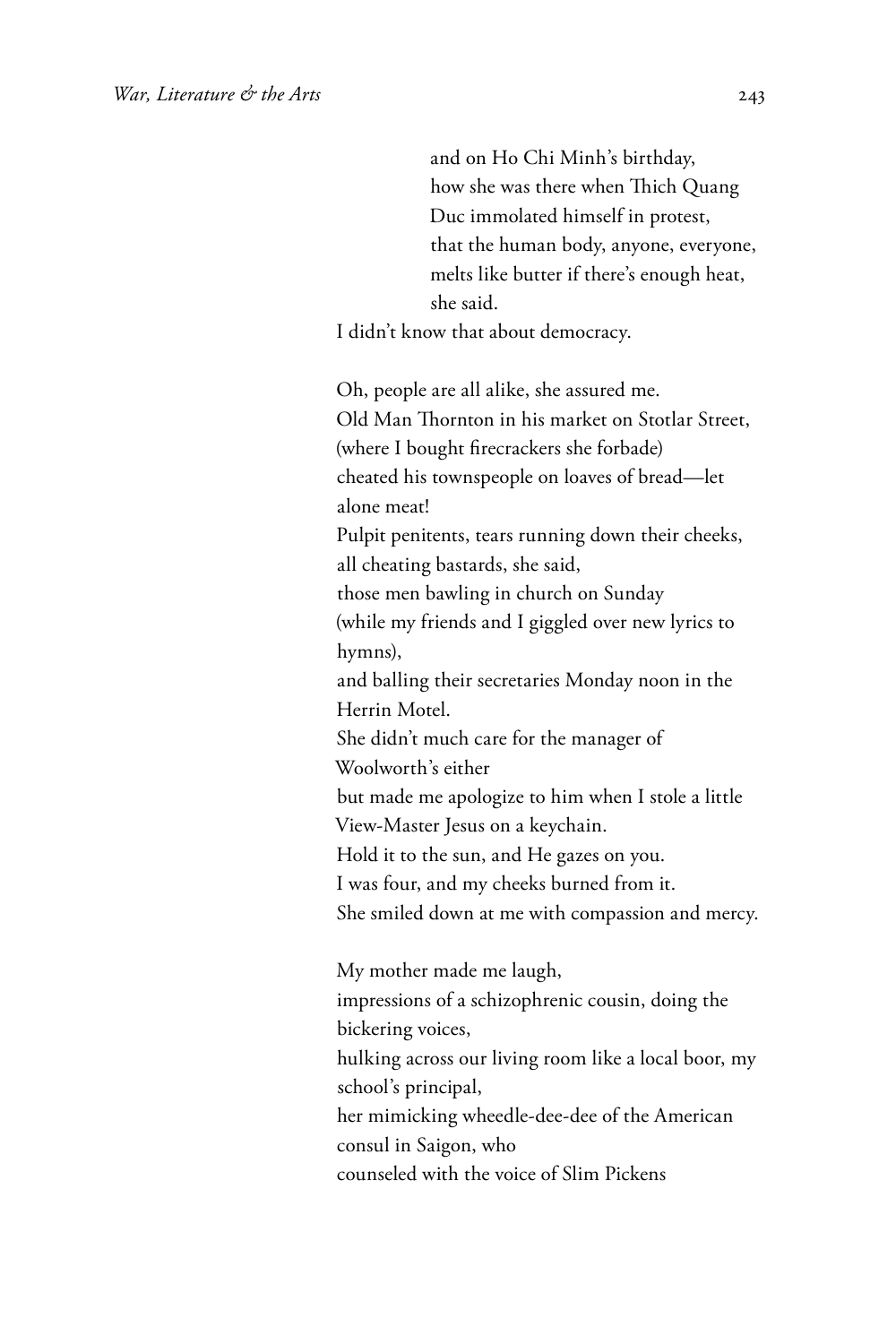and on Ho Chi Minh's birthday, how she was there when Thich Quang Duc immolated himself in protest, that the human body, anyone, everyone, melts like butter if there's enough heat, she said.

I didn't know that about democracy.

Oh, people are all alike, she assured me. Old Man Thornton in his market on Stotlar Street, (where I bought firecrackers she forbade) cheated his townspeople on loaves of bread—let alone meat! Pulpit penitents, tears running down their cheeks, all cheating bastards, she said, those men bawling in church on Sunday (while my friends and I giggled over new lyrics to hymns), and balling their secretaries Monday noon in the Herrin Motel. She didn't much care for the manager of Woolworth's either but made me apologize to him when I stole a little View-Master Jesus on a keychain. Hold it to the sun, and He gazes on you. I was four, and my cheeks burned from it. She smiled down at me with compassion and mercy.

My mother made me laugh, impressions of a schizophrenic cousin, doing the bickering voices, hulking across our living room like a local boor, my school's principal, her mimicking wheedle-dee-dee of the American consul in Saigon, who counseled with the voice of Slim Pickens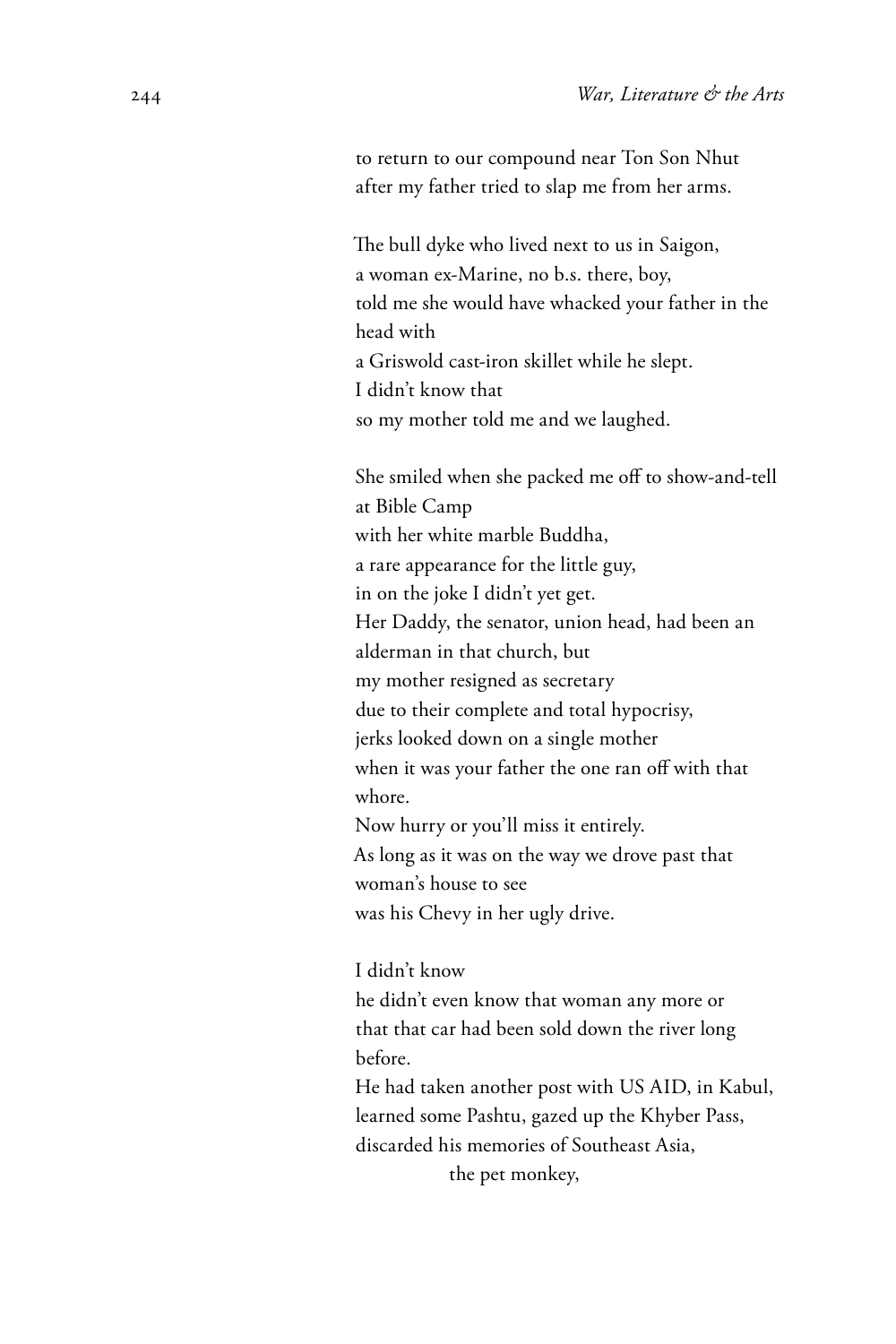to return to our compound near Ton Son Nhut after my father tried to slap me from her arms.

The bull dyke who lived next to us in Saigon, a woman ex-Marine, no b.s. there, boy, told me she would have whacked your father in the head with a Griswold cast-iron skillet while he slept. I didn't know that so my mother told me and we laughed.

She smiled when she packed me off to show-and-tell at Bible Camp with her white marble Buddha, a rare appearance for the little guy, in on the joke I didn't yet get. Her Daddy, the senator, union head, had been an alderman in that church, but my mother resigned as secretary due to their complete and total hypocrisy, jerks looked down on a single mother when it was your father the one ran off with that whore. Now hurry or you'll miss it entirely. As long as it was on the way we drove past that woman's house to see was his Chevy in her ugly drive.

I didn't know

he didn't even know that woman any more or that that car had been sold down the river long before.

He had taken another post with US AID, in Kabul, learned some Pashtu, gazed up the Khyber Pass, discarded his memories of Southeast Asia, the pet monkey,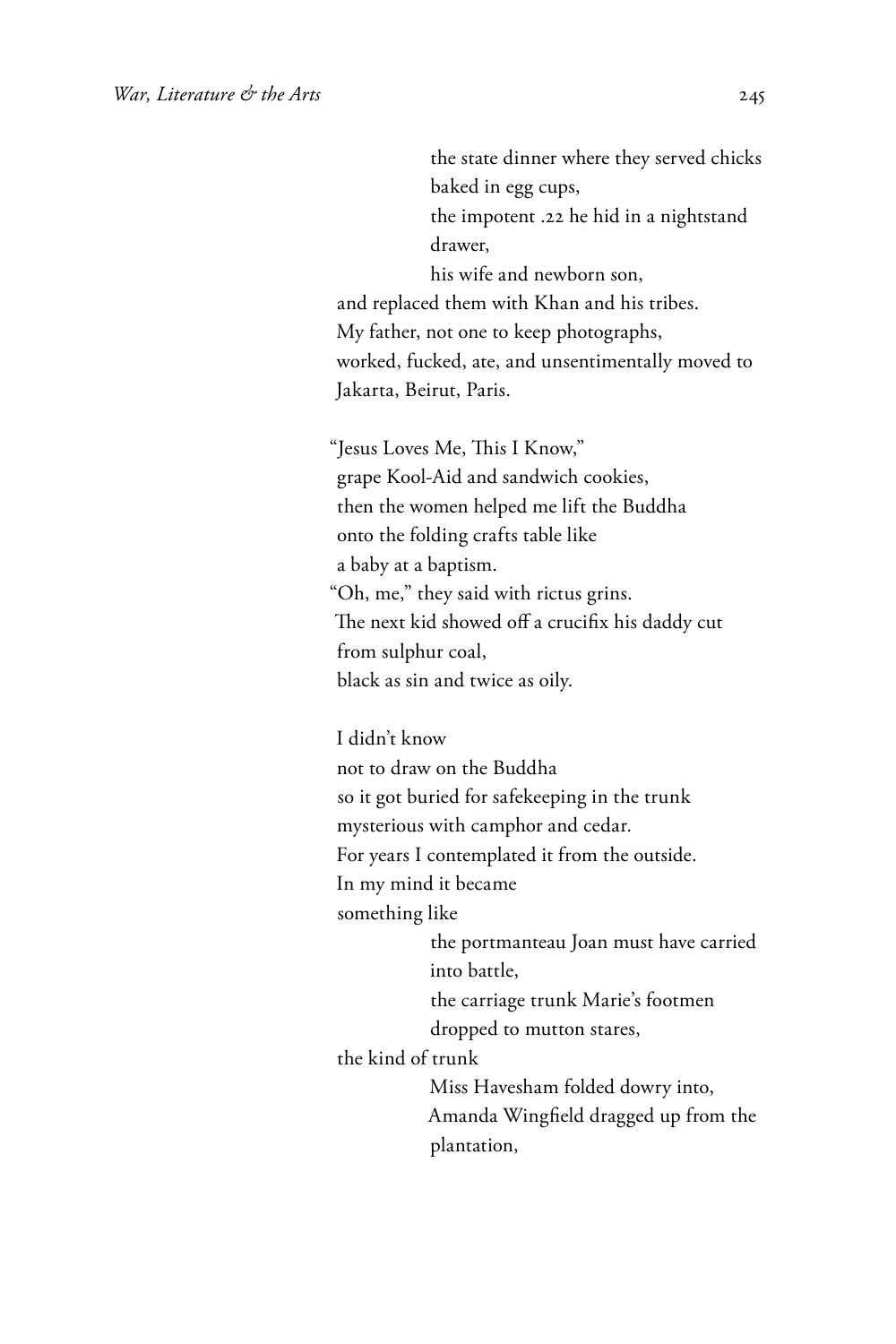the state dinner where they served chicks baked in egg cups, the impotent .22 he hid in a nightstand drawer, his wife and newborn son, and replaced them with Khan and his tribes. My father, not one to keep photographs, worked, fucked, ate, and unsentimentally moved to Jakarta, Beirut, Paris. "Jesus Loves Me, This I Know," grape Kool-Aid and sandwich cookies, then the women helped me lift the Buddha onto the folding crafts table like a baby at a baptism. "Oh, me," they said with rictus grins. The next kid showed off a crucifix his daddy cut from sulphur coal, black as sin and twice as oily. I didn't know not to draw on the Buddha

so it got buried for safekeeping in the trunk mysterious with camphor and cedar. For years I contemplated it from the outside. In my mind it became something like the portmanteau Joan must have carried into battle, the carriage trunk Marie's footmen dropped to mutton stares, the kind of trunk

Miss Havesham folded dowry into, Amanda Wingfield dragged up from the plantation,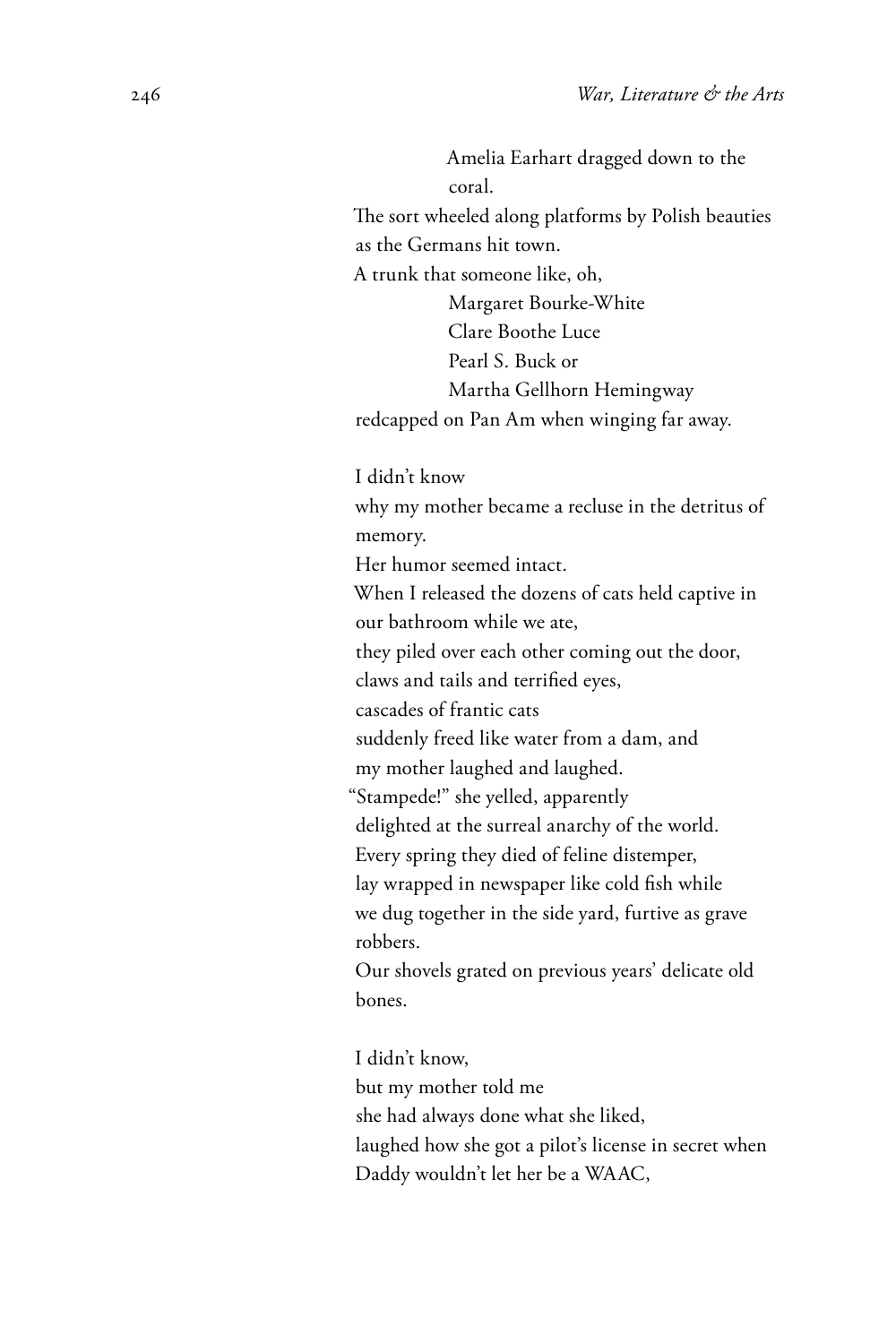Amelia Earhart dragged down to the coral. The sort wheeled along platforms by Polish beauties

as the Germans hit town.

A trunk that someone like, oh,

Margaret Bourke-White Clare Boothe Luce Pearl S. Buck or Martha Gellhorn Hemingway redcapped on Pan Am when winging far away.

I didn't know

why my mother became a recluse in the detritus of memory.

Her humor seemed intact.

When I released the dozens of cats held captive in our bathroom while we ate,

they piled over each other coming out the door,

claws and tails and terrified eyes,

cascades of frantic cats

suddenly freed like water from a dam, and

my mother laughed and laughed.

"Stampede!" she yelled, apparently

delighted at the surreal anarchy of the world.

Every spring they died of feline distemper,

lay wrapped in newspaper like cold fish while

we dug together in the side yard, furtive as grave robbers.

Our shovels grated on previous years' delicate old bones.

I didn't know, but my mother told me she had always done what she liked, laughed how she got a pilot's license in secret when Daddy wouldn't let her be a WAAC,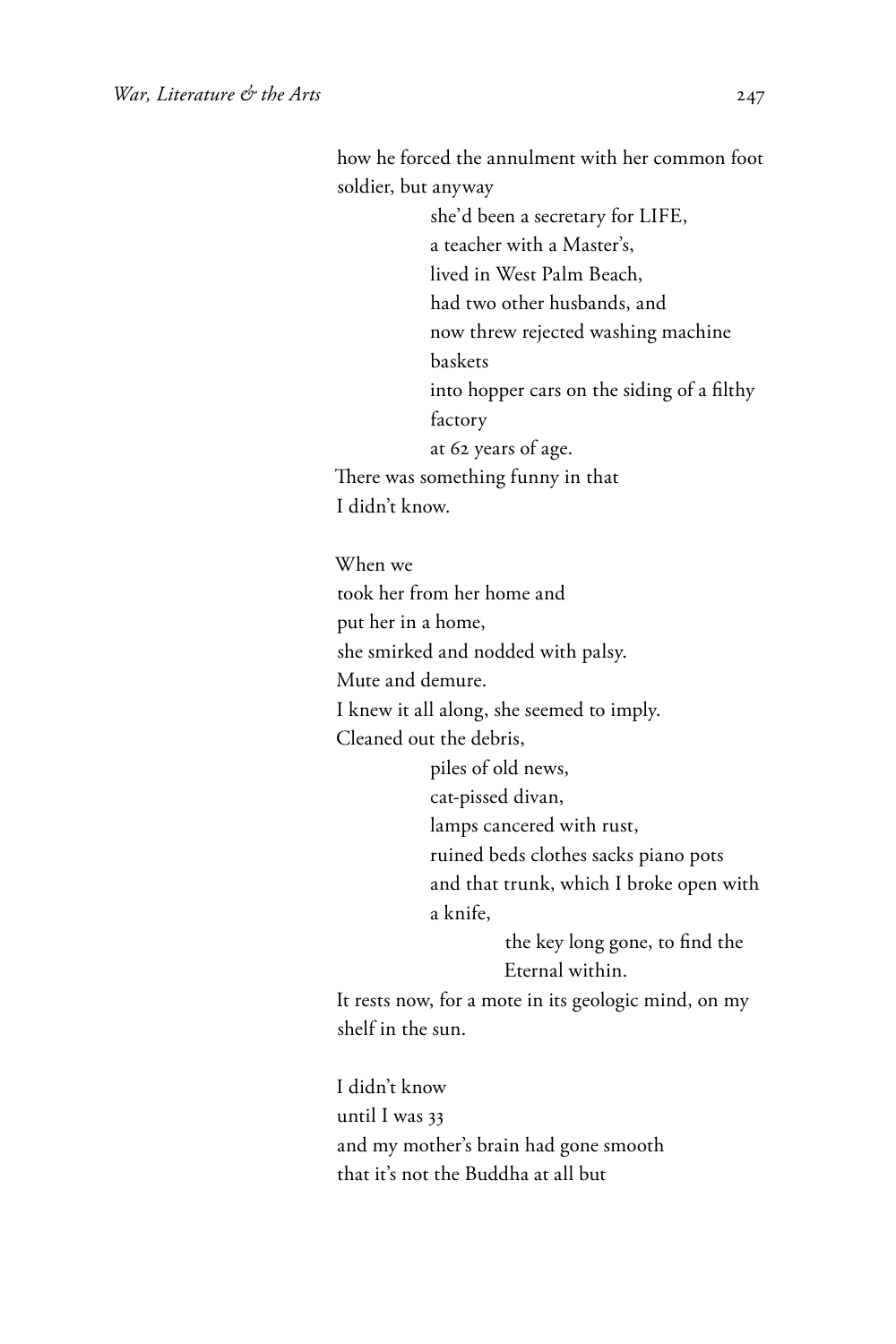how he forced the annulment with her common foot soldier, but anyway

she'd been a secretary for LIFE, a teacher with a Master's, lived in West Palm Beach, had two other husbands, and now threw rejected washing machine baskets into hopper cars on the siding of a filthy factory at 62 years of age. There was something funny in that I didn't know.

When we

took her from her home and

put her in a home,

she smirked and nodded with palsy.

Mute and demure.

I knew it all along, she seemed to imply.

Cleaned out the debris,

piles of old news,

cat-pissed divan,

lamps cancered with rust,

ruined beds clothes sacks piano pots

and that trunk, which I broke open with a knife,

> the key long gone, to find the Eternal within.

It rests now, for a mote in its geologic mind, on my shelf in the sun.

I didn't know until I was 33 and my mother's brain had gone smooth that it's not the Buddha at all but